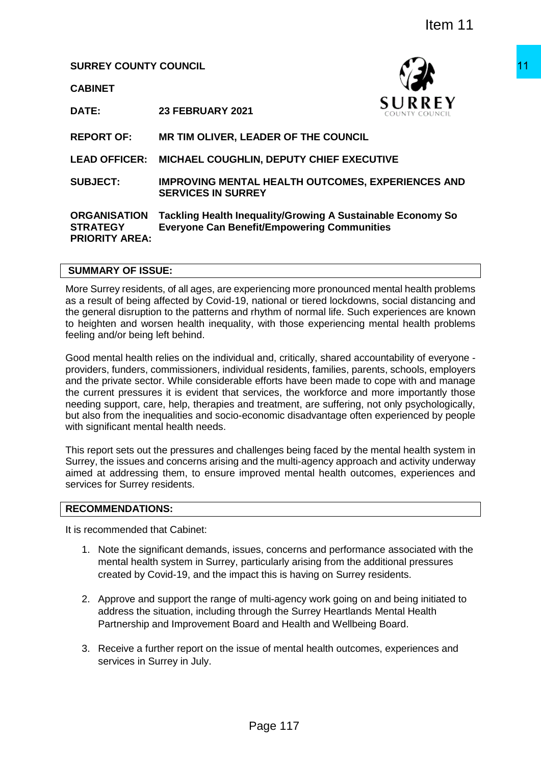**SURREY COUNTY COUNCIL**

**CABINET**



**DATE: 23 FEBRUARY 2021**

**REPORT OF: MR TIM OLIVER, LEADER OF THE COUNCIL**

**LEAD OFFICER: MICHAEL COUGHLIN, DEPUTY CHIEF EXECUTIVE**

**SUBJECT: IMPROVING MENTAL HEALTH OUTCOMES, EXPERIENCES AND SERVICES IN SURREY**

#### **ORGANISATION STRATEGY PRIORITY AREA: Tackling Health Inequality/Growing A Sustainable Economy So Everyone Can Benefit/Empowering Communities**

## **SUMMARY OF ISSUE:**

More Surrey residents, of all ages, are experiencing more pronounced mental health problems as a result of being affected by Covid-19, national or tiered lockdowns, social distancing and the general disruption to the patterns and rhythm of normal life. Such experiences are known to heighten and worsen health inequality, with those experiencing mental health problems feeling and/or being left behind.

Good mental health relies on the individual and, critically, shared accountability of everyone providers, funders, commissioners, individual residents, families, parents, schools, employers and the private sector. While considerable efforts have been made to cope with and manage the current pressures it is evident that services, the workforce and more importantly those needing support, care, help, therapies and treatment, are suffering, not only psychologically, but also from the inequalities and socio-economic disadvantage often experienced by people with significant mental health needs. THE SURVEY THE COUNCIL<br>
THE SURREY<br>
SURREY<br>
EADER OF THE COUNCIL<br>
IN, DEPUTY CHIEF EXECUTIVE<br>
ALL HEALTH OUTCOMES, EXPERIENCES AND<br>
REY<br>
quality/Growing A Sustainable Economy So<br>
Refive-mpowering Communities<br>
neithering mo

This report sets out the pressures and challenges being faced by the mental health system in Surrey, the issues and concerns arising and the multi-agency approach and activity underway aimed at addressing them, to ensure improved mental health outcomes, experiences and services for Surrey residents.

#### **RECOMMENDATIONS:**

It is recommended that Cabinet:

- 1. Note the significant demands, issues, concerns and performance associated with the mental health system in Surrey, particularly arising from the additional pressures created by Covid-19, and the impact this is having on Surrey residents.
- 2. Approve and support the range of multi-agency work going on and being initiated to address the situation, including through the Surrey Heartlands Mental Health Partnership and Improvement Board and Health and Wellbeing Board.
- 3. Receive a further report on the issue of mental health outcomes, experiences and services in Surrey in July.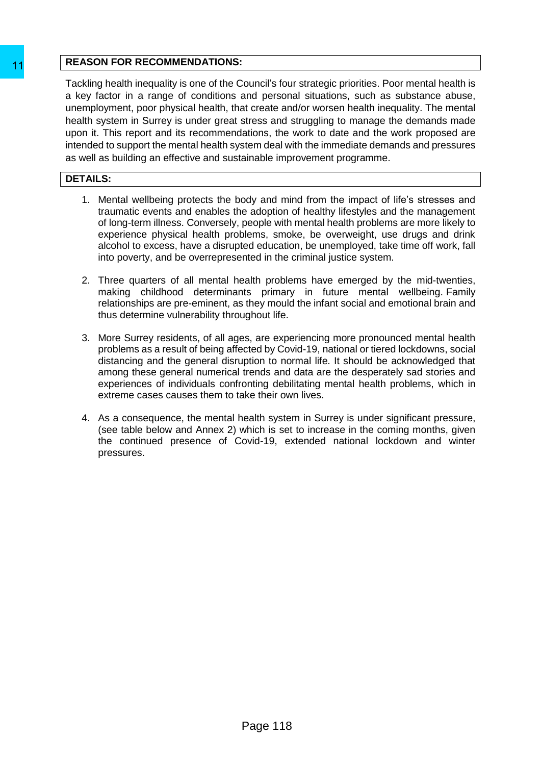## **REASON FOR RECOMMENDATIONS:**

Tackling health inequality is one of the Council's four strategic priorities. Poor mental health is a key factor in a range of conditions and personal situations, such as substance abuse, unemployment, poor physical health, that create and/or worsen health inequality. The mental health system in Surrey is under great stress and struggling to manage the demands made upon it. This report and its recommendations, the work to date and the work proposed are intended to support the mental health system deal with the immediate demands and pressures as well as building an effective and sustainable improvement programme. THE MESON FOR RECOMMENDATIONS:<br>
Tacking heath inequality is one of the Council's four<br>
a key factor in a range of conditions and person<br>
unemployment, poor physical neath th, that creates and<br>
upon it. This report and its

# **DETAILS:**

- 1. Mental wellbeing protects the body and mind from the impact of life's stresses and traumatic events and enables the adoption of healthy lifestyles and the management of long-term illness. Conversely, people with mental health problems are more likely to experience physical health problems, smoke, be overweight, use drugs and drink alcohol to excess, have a disrupted education, be unemployed, take time off work, fall into poverty, and be overrepresented in the criminal justice system.
- 2. Three quarters of all mental health problems have emerged by the mid-twenties, making childhood determinants primary in future mental wellbeing. Family relationships are pre-eminent, as they mould the infant social and emotional brain and thus determine vulnerability throughout life.
- 3. More Surrey residents, of all ages, are experiencing more pronounced mental health problems as a result of being affected by Covid-19, national or tiered lockdowns, social distancing and the general disruption to normal life. It should be acknowledged that among these general numerical trends and data are the desperately sad stories and experiences of individuals confronting debilitating mental health problems, which in extreme cases causes them to take their own lives.
- 4. As a consequence, the mental health system in Surrey is under significant pressure, (see table below and Annex 2) which is set to increase in the coming months, given the continued presence of Covid-19, extended national lockdown and winter pressures.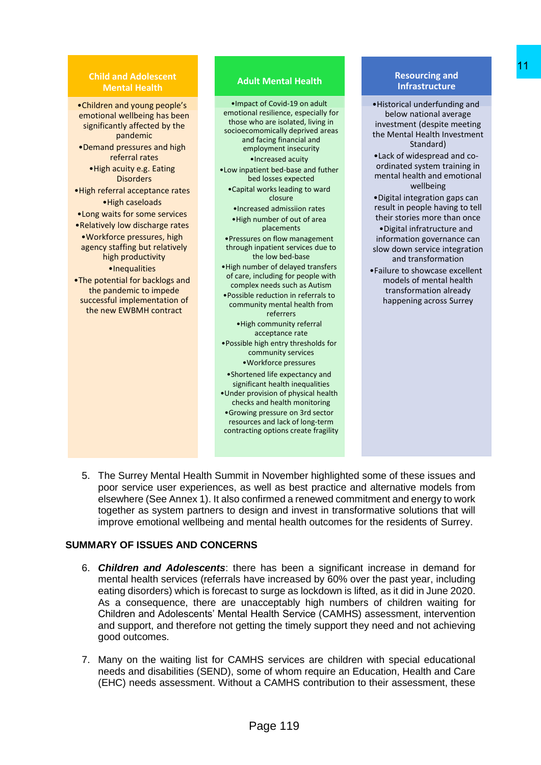#### **Child and Adolescent Mental Health**

•Children and young people's emotional wellbeing has been significantly affected by the pandemic •Demand pressures and high referral rates •High acuity e.g. Eating **Disorders** •High referral acceptance rates •High caseloads •Long waits for some services •Relatively low discharge rates •Workforce pressures, high agency staffing but relatively high productivity •Inequalities •The potential for backlogs and the pandemic to impede successful implementation of the new EWBMH contract

#### **Adult Mental Health**

- •Impact of Covid-19 on adult emotional resilience, especially for those who are isolated, living in socioecomomically deprived areas and facing financial and employment insecurity •Increased acuity •Low inpatient bed-base and futher bed losses expected •Capital works leading to ward closure •Increased admissiion rates •High number of out of area placements •Pressures on flow management through inpatient services due to the low bed-base •High number of delayed transfers of care, including for people with complex needs such as Autism •Possible reduction in referrals to community mental health from referrers •High community referral acceptance rate •Possible high entry thresholds for community services •Workforce pressures •Shortened life expectancy and significant health inequalities •Under provision of physical health checks and health monitoring •Growing pressure on 3rd sector the Mental Health<br>
In the formula Health and the state of control in the state of control in the state of the state of the state of the state of the state of the state of the method and the state of the state of the Mental
	- resources and lack of long-term contracting options create fragility

#### **Resourcing and Infrastructure**

•Historical underfunding and below national average investment (despite meeting the Mental Health Investment Standard) •Lack of widespread and coordinated system training in mental health and emotional wellbeing •Digital integration gaps can result in people having to tell their stories more than once •Digital infratructure and information governance can slow down service integration and transformation •Failure to showcase excellent models of mental health transformation already happening across Surrey

5. The Surrey Mental Health Summit in November highlighted some of these issues and poor service user experiences, as well as best practice and alternative models from elsewhere (See Annex 1). It also confirmed a renewed commitment and energy to work together as system partners to design and invest in transformative solutions that will improve emotional wellbeing and mental health outcomes for the residents of Surrey.

## **SUMMARY OF ISSUES AND CONCERNS**

- 6. *Children and Adolescents*: there has been a significant increase in demand for mental health services (referrals have increased by 60% over the past year, including eating disorders) which is forecast to surge as lockdown is lifted, as it did in June 2020. As a consequence, there are unacceptably high numbers of children waiting for Children and Adolescents' Mental Health Service (CAMHS) assessment, intervention and support, and therefore not getting the timely support they need and not achieving good outcomes.
- 7. Many on the waiting list for CAMHS services are children with special educational needs and disabilities (SEND), some of whom require an Education, Health and Care (EHC) needs assessment. Without a CAMHS contribution to their assessment, these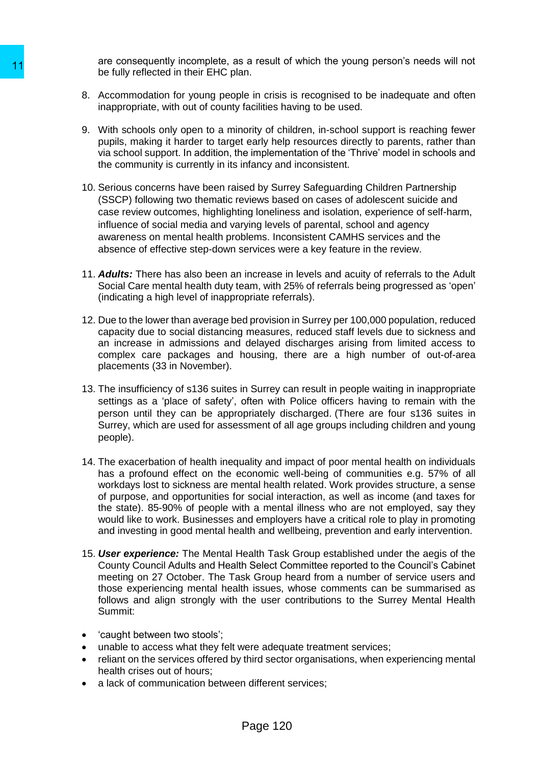are consequently incomplete, as a result of which the young person's needs will not be fully reflected in their EHC plan.

- 8. Accommodation for young people in crisis is recognised to be inadequate and often inappropriate, with out of county facilities having to be used.
- 9. With schools only open to a minority of children, in-school support is reaching fewer pupils, making it harder to target early help resources directly to parents, rather than via school support. In addition, the implementation of the 'Thrive' model in schools and the community is currently in its infancy and inconsistent.
- 10. Serious concerns have been raised by Surrey Safeguarding Children Partnership (SSCP) following two thematic reviews based on cases of adolescent suicide and case review outcomes, highlighting loneliness and isolation, experience of self-harm, influence of social media and varying levels of parental, school and agency awareness on mental health problems. Inconsistent CAMHS services and the absence of effective step-down services were a key feature in the review.
- 11. *Adults:* There has also been an increase in levels and acuity of referrals to the Adult Social Care mental health duty team, with 25% of referrals being progressed as 'open' (indicating a high level of inappropriate referrals).
- 12. Due to the lower than average bed provision in Surrey per 100,000 population, reduced capacity due to social distancing measures, reduced staff levels due to sickness and an increase in admissions and delayed discharges arising from limited access to complex care packages and housing, there are a high number of out-of-area placements (33 in November).
- 13. The insufficiency of s136 suites in Surrey can result in people waiting in inappropriate settings as a 'place of safety', often with Police officers having to remain with the person until they can be appropriately discharged. (There are four s136 suites in Surrey, which are used for assessment of all age groups including children and young people).
- 14. The exacerbation of health inequality and impact of poor mental health on individuals has a profound effect on the economic well-being of communities e.g. 57% of all workdays lost to sickness are mental health related. Work provides structure, a sense of purpose, and opportunities for social interaction, as well as income (and taxes for the state). 85-90% of people with a mental illness who are not employed, say they would like to work. Businesses and employers have a critical role to play in promoting and investing in good mental health and wellbeing, prevention and early intervention. 11<br>
are collected in their EHC plan.<br>
be fully reflected in their EHC plan.<br>
8. Accommodation for young people in crisis<br>
inappropriate, with out of county lacilities has<br>
9. With schools only open to a minority of chili<br>
	- 15. *User experience:* The Mental Health Task Group established under the aegis of the County Council Adults and Health Select Committee reported to the Council's Cabinet meeting on 27 October. The Task Group heard from a number of service users and those experiencing mental health issues, whose comments can be summarised as follows and align strongly with the user contributions to the Surrey Mental Health Summit:
	- 'caught between two stools';
	- unable to access what they felt were adequate treatment services;
	- reliant on the services offered by third sector organisations, when experiencing mental health crises out of hours;
	- a lack of communication between different services: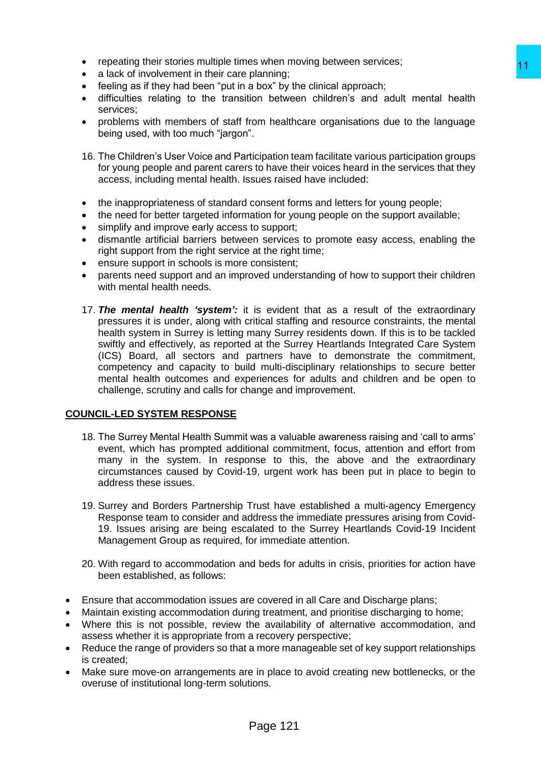- repeating their stories multiple times when moving between services;
- a lack of involvement in their care planning:
- feeling as if they had been "put in a box" by the clinical approach;
- difficulties relating to the transition between children's and adult mental health services;
- problems with members of staff from healthcare organisations due to the language being used, with too much "jargon".
- 16. The Children's User Voice and Participation team facilitate various participation groups for young people and parent carers to have their voices heard in the services that they access, including mental health. Issues raised have included:
- the inappropriateness of standard consent forms and letters for young people;
- the need for better targeted information for young people on the support available;
- simplify and improve early access to support:
- dismantle artificial barriers between services to promote easy access, enabling the right support from the right service at the right time;
- ensure support in schools is more consistent;
- parents need support and an improved understanding of how to support their children with mental health needs.
- 17. *The mental health 'system':* it is evident that as a result of the extraordinary pressures it is under, along with critical staffing and resource constraints, the mental health system in Surrey is letting many Surrey residents down. If this is to be tackled swiftly and effectively, as reported at the Surrey Heartlands Integrated Care System (ICS) Board, all sectors and partners have to demonstrate the commitment, competency and capacity to build multi-disciplinary relationships to secure better mental health outcomes and experiences for adults and children and be open to challenge, scrutiny and calls for change and improvement. sy when innoving between servicess,<br>
and both by the clinical approach;<br>
Delaning:<br>
Delaning:<br>
Con between children's and adult mental health<br>
rom healthcare organisations due to the language<br>
".<br>
"Etiopation team facilita

## **COUNCIL-LED SYSTEM RESPONSE**

- 18. The Surrey Mental Health Summit was a valuable awareness raising and 'call to arms' event, which has prompted additional commitment, focus, attention and effort from many in the system. In response to this, the above and the extraordinary circumstances caused by Covid-19, urgent work has been put in place to begin to address these issues.
- 19. Surrey and Borders Partnership Trust have established a multi-agency Emergency Response team to consider and address the immediate pressures arising from Covid-19. Issues arising are being escalated to the Surrey Heartlands Covid-19 Incident Management Group as required, for immediate attention.
- 20. With regard to accommodation and beds for adults in crisis, priorities for action have been established, as follows:
- Ensure that accommodation issues are covered in all Care and Discharge plans;
- Maintain existing accommodation during treatment, and prioritise discharging to home;
- Where this is not possible, review the availability of alternative accommodation, and assess whether it is appropriate from a recovery perspective;
- Reduce the range of providers so that a more manageable set of key support relationships is created;
- Make sure move-on arrangements are in place to avoid creating new bottlenecks, or the overuse of institutional long-term solutions.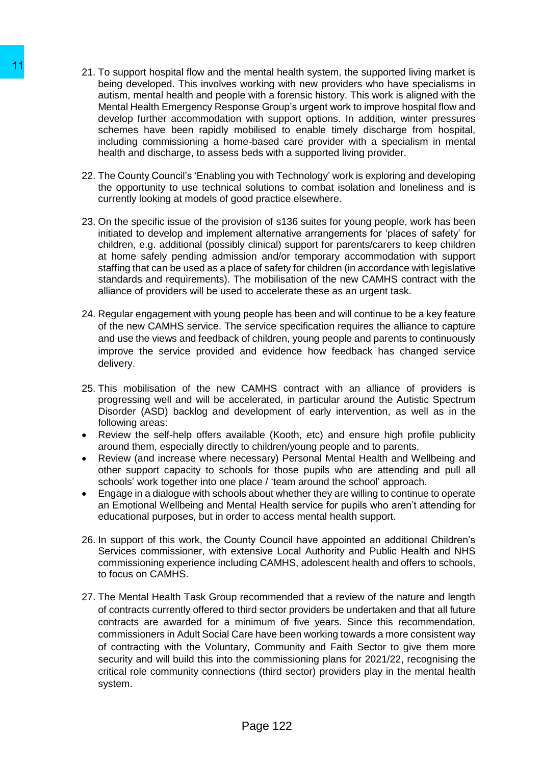- 21. To support hospital flow and the mental health system, the supported living market is being developed. This involves working with new providers who have specialisms in autism, mental health and people with a forensic history. This work is aligned with the Mental Health Emergency Response Group's urgent work to improve hospital flow and develop further accommodation with support options. In addition, winter pressures schemes have been rapidly mobilised to enable timely discharge from hospital, including commissioning a home-based care provider with a specialism in mental health and discharge, to assess beds with a supported living provider.
- 22. The County Council's 'Enabling you with Technology' work is exploring and developing the opportunity to use technical solutions to combat isolation and loneliness and is currently looking at models of good practice elsewhere.
- 23. On the specific issue of the provision of s136 suites for young people, work has been initiated to develop and implement alternative arrangements for 'places of safety' for children, e.g. additional (possibly clinical) support for parents/carers to keep children at home safely pending admission and/or temporary accommodation with support staffing that can be used as a place of safety for children (in accordance with legislative standards and requirements). The mobilisation of the new CAMHS contract with the alliance of providers will be used to accelerate these as an urgent task.
- 24. Regular engagement with young people has been and will continue to be a key feature of the new CAMHS service. The service specification requires the alliance to capture and use the views and feedback of children, young people and parents to continuously improve the service provided and evidence how feedback has changed service delivery.
- 25. This mobilisation of the new CAMHS contract with an alliance of providers is progressing well and will be accelerated, in particular around the Autistic Spectrum Disorder (ASD) backlog and development of early intervention, as well as in the following areas:
- Review the self-help offers available (Kooth, etc) and ensure high profile publicity around them, especially directly to children/young people and to parents.
- Review (and increase where necessary) Personal Mental Health and Wellbeing and other support capacity to schools for those pupils who are attending and pull all schools' work together into one place / 'team around the school' approach.
- Engage in a dialogue with schools about whether they are willing to continue to operate an Emotional Wellbeing and Mental Health service for pupils who aren't attending for educational purposes, but in order to access mental health support.
- 26. In support of this work, the County Council have appointed an additional Children's Services commissioner, with extensive Local Authority and Public Health and NHS commissioning experience including CAMHS, adolescent health and offers to schools, to focus on CAMHS.
- 27. The Mental Health Task Group recommended that a review of the nature and length of contracts currently offered to third sector providers be undertaken and that all future contracts are awarded for a minimum of five years. Since this recommendation, commissioners in Adult Social Care have been working towards a more consistent way of contracting with the Voluntary, Community and Faith Sector to give them more security and will build this into the commissioning plans for 2021/22, recognising the critical role community connections (third sector) providers play in the mental health system. 11<br>21. To support hospital flow and the mental healing developed. This involves working with the substitute and<br>than in mental health amore perty less providing with a form of Mental Health amore perty responses for<br>outlin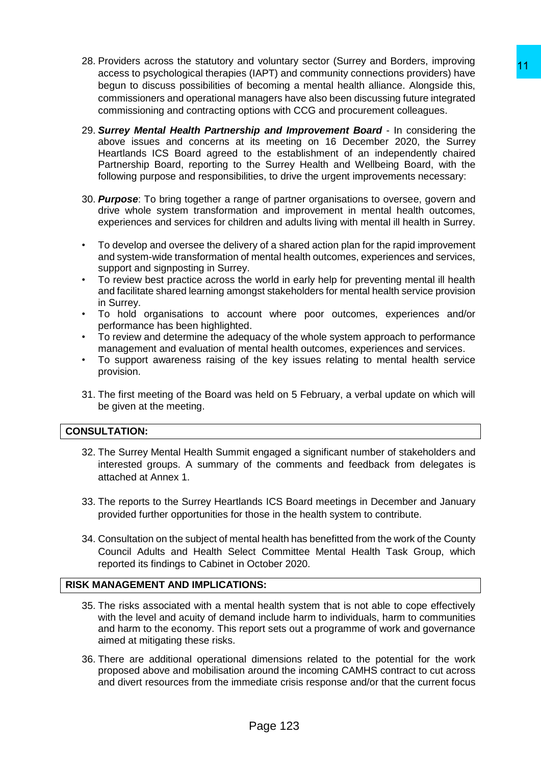- 28. Providers across the statutory and voluntary sector (Surrey and Borders, improving access to psychological therapies (IAPT) and community connections providers) have begun to discuss possibilities of becoming a mental health alliance. Alongside this, commissioners and operational managers have also been discussing future integrated commissioning and contracting options with CCG and procurement colleagues.
- 29. *Surrey Mental Health Partnership and Improvement Board* In considering the above issues and concerns at its meeting on 16 December 2020, the Surrey Heartlands ICS Board agreed to the establishment of an independently chaired Partnership Board, reporting to the Surrey Health and Wellbeing Board, with the following purpose and responsibilities, to drive the urgent improvements necessary: Conditionaly sector (solary and Bottom), imploying the control of the control of the conditionaly state and the all heliance. All orgating a mental health all all health all ances. All orgating the presenting a mental heal
- 30. *Purpose*: To bring together a range of partner organisations to oversee, govern and drive whole system transformation and improvement in mental health outcomes, experiences and services for children and adults living with mental ill health in Surrey.
- To develop and oversee the delivery of a shared action plan for the rapid improvement and system-wide transformation of mental health outcomes, experiences and services, support and signposting in Surrey.
- To review best practice across the world in early help for preventing mental ill health and facilitate shared learning amongst stakeholders for mental health service provision in Surrey.
- To hold organisations to account where poor outcomes, experiences and/or performance has been highlighted.
- To review and determine the adequacy of the whole system approach to performance management and evaluation of mental health outcomes, experiences and services.
- To support awareness raising of the key issues relating to mental health service provision.
- 31. The first meeting of the Board was held on 5 February, a verbal update on which will be given at the meeting.

## **CONSULTATION:**

- 32. The Surrey Mental Health Summit engaged a significant number of stakeholders and interested groups. A summary of the comments and feedback from delegates is attached at Annex 1.
- 33. The reports to the Surrey Heartlands ICS Board meetings in December and January provided further opportunities for those in the health system to contribute.
- 34. Consultation on the subject of mental health has benefitted from the work of the County Council Adults and Health Select Committee Mental Health Task Group, which reported its findings to Cabinet in October 2020.

# **RISK MANAGEMENT AND IMPLICATIONS:**

- 35. The risks associated with a mental health system that is not able to cope effectively with the level and acuity of demand include harm to individuals, harm to communities and harm to the economy. This report sets out a programme of work and governance aimed at mitigating these risks.
- 36. There are additional operational dimensions related to the potential for the work proposed above and mobilisation around the incoming CAMHS contract to cut across and divert resources from the immediate crisis response and/or that the current focus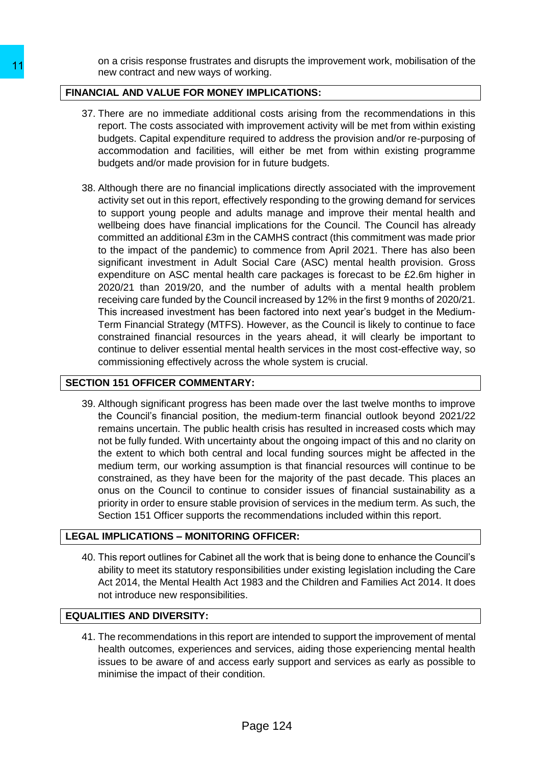on a crisis response frustrates and disrupts the improvement work, mobilisation of the new contract and new ways of working.

## **FINANCIAL AND VALUE FOR MONEY IMPLICATIONS:**

- 37. There are no immediate additional costs arising from the recommendations in this report. The costs associated with improvement activity will be met from within existing budgets. Capital expenditure required to address the provision and/or re-purposing of accommodation and facilities, will either be met from within existing programme budgets and/or made provision for in future budgets.
- 38. Although there are no financial implications directly associated with the improvement activity set out in this report, effectively responding to the growing demand for services to support young people and adults manage and improve their mental health and wellbeing does have financial implications for the Council. The Council has already committed an additional £3m in the CAMHS contract (this commitment was made prior to the impact of the pandemic) to commence from April 2021. There has also been significant investment in Adult Social Care (ASC) mental health provision. Gross expenditure on ASC mental health care packages is forecast to be £2.6m higher in 2020/21 than 2019/20, and the number of adults with a mental health problem receiving care funded by the Council increased by 12% in the first 9 months of 2020/21. This increased investment has been factored into next year's budget in the Medium-Term Financial Strategy (MTFS). However, as the Council is likely to continue to face constrained financial resources in the years ahead, it will clearly be important to continue to deliver essential mental health services in the most cost-effective way, so commissioning effectively across the whole system is crucial. 11<br>
In the track response thus task and using.<br>
THINANCIAL AND VALUE FOR MONEY IMPLICAT<br>
37. There are no immediate additional costs<br>
report. The costs associated with improvem<br>
budgets. Capital experidition and facilities

# **SECTION 151 OFFICER COMMENTARY:**

39. Although significant progress has been made over the last twelve months to improve the Council's financial position, the medium-term financial outlook beyond 2021/22 remains uncertain. The public health crisis has resulted in increased costs which may not be fully funded. With uncertainty about the ongoing impact of this and no clarity on the extent to which both central and local funding sources might be affected in the medium term, our working assumption is that financial resources will continue to be constrained, as they have been for the majority of the past decade. This places an onus on the Council to continue to consider issues of financial sustainability as a priority in order to ensure stable provision of services in the medium term. As such, the Section 151 Officer supports the recommendations included within this report.

## **LEGAL IMPLICATIONS – MONITORING OFFICER:**

40. This report outlines for Cabinet all the work that is being done to enhance the Council's ability to meet its statutory responsibilities under existing legislation including the Care Act 2014, the Mental Health Act 1983 and the Children and Families Act 2014. It does not introduce new responsibilities.

# **EQUALITIES AND DIVERSITY:**

41. The recommendations in this report are intended to support the improvement of mental health outcomes, experiences and services, aiding those experiencing mental health issues to be aware of and access early support and services as early as possible to minimise the impact of their condition.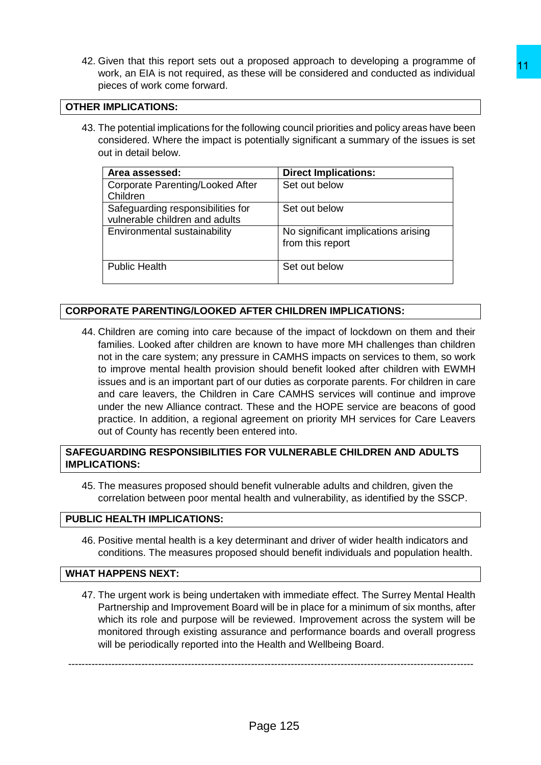42. Given that this report sets out a proposed approach to developing a programme of work, an EIA is not required, as these will be considered and conducted as individual pieces of work come forward.

## **OTHER IMPLICATIONS:**

43. The potential implications for the following council priorities and policy areas have been considered. Where the impact is potentially significant a summary of the issues is set out in detail below.

| Area assessed:                                                      | <b>Direct Implications:</b>                             |
|---------------------------------------------------------------------|---------------------------------------------------------|
| Corporate Parenting/Looked After<br>Children                        | Set out below                                           |
| Safeguarding responsibilities for<br>vulnerable children and adults | Set out below                                           |
| Environmental sustainability                                        | No significant implications arising<br>from this report |
| <b>Public Health</b>                                                | Set out below                                           |

# **CORPORATE PARENTING/LOOKED AFTER CHILDREN IMPLICATIONS:**

44. Children are coming into care because of the impact of lockdown on them and their families. Looked after children are known to have more MH challenges than children not in the care system; any pressure in CAMHS impacts on services to them, so work to improve mental health provision should benefit looked after children with EWMH issues and is an important part of our duties as corporate parents. For children in care and care leavers, the Children in Care CAMHS services will continue and improve under the new Alliance contract. These and the HOPE service are beacons of good practice. In addition, a regional agreement on priority MH services for Care Leavers out of County has recently been entered into. Mukosea sphotoin to developing a programme on<br>sess will be considered and conducted as individual<br>sess will be considered and conducted as individual<br>illowing council priorities and policy areas have been<br>centrially signif

# **SAFEGUARDING RESPONSIBILITIES FOR VULNERABLE CHILDREN AND ADULTS IMPLICATIONS:**

45. The measures proposed should benefit vulnerable adults and children, given the correlation between poor mental health and vulnerability, as identified by the SSCP.

## **PUBLIC HEALTH IMPLICATIONS:**

46. Positive mental health is a key determinant and driver of wider health indicators and conditions. The measures proposed should benefit individuals and population health.

## **WHAT HAPPENS NEXT:**

47. The urgent work is being undertaken with immediate effect. The Surrey Mental Health Partnership and Improvement Board will be in place for a minimum of six months, after which its role and purpose will be reviewed. Improvement across the system will be monitored through existing assurance and performance boards and overall progress will be periodically reported into the Health and Wellbeing Board.

--------------------------------------------------------------------------------------------------------------------------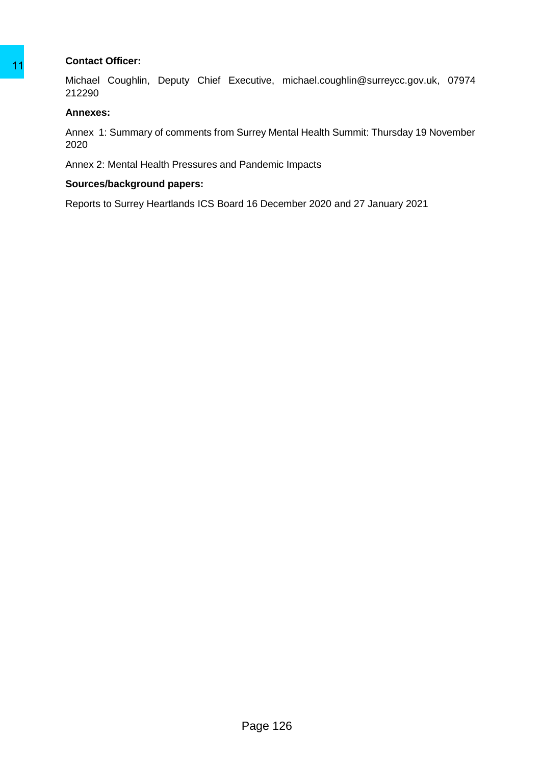## **Contact Officer:**

Michael Coughlin, Deputy Chief Executive, michael.coughlin@surreycc.gov.uk, 07974 212290 Michael Ocuphin, Deputy Chief Executive, mi<br>
Michael Couphin, Deputy Chief Executive, mi<br>
212290<br>
Annexes:<br>
Amex 1: Summary of comments from Surrey Ment<br>
2020<br>
Annex 2: Mental Health Pressures and Pandemic Ir<br>
Sources/back

#### **Annexes:**

Annex 1: Summary of comments from Surrey Mental Health Summit: Thursday 19 November 2020

Annex 2: Mental Health Pressures and Pandemic Impacts

#### **Sources/background papers:**

Reports to Surrey Heartlands ICS Board 16 December 2020 and 27 January 2021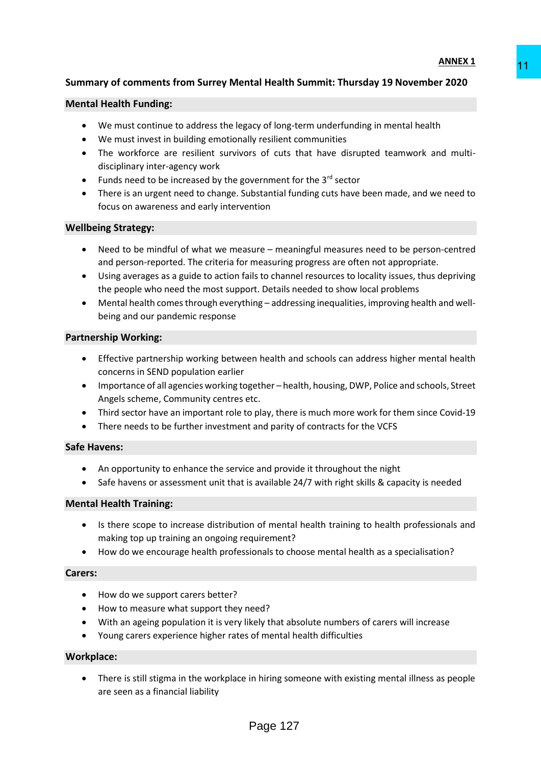# **Summary of comments from Surrey Mental Health Summit: Thursday 19 November 2020**

#### **Mental Health Funding:**

- We must continue to address the legacy of long-term underfunding in mental health
- We must invest in building emotionally resilient communities
- The workforce are resilient survivors of cuts that have disrupted teamwork and multidisciplinary inter-agency work
- Funds need to be increased by the government for the  $3<sup>rd</sup>$  sector
- There is an urgent need to change. Substantial funding cuts have been made, and we need to focus on awareness and early intervention

#### **Wellbeing Strategy:**

- Need to be mindful of what we measure meaningful measures need to be person-centred and person-reported. The criteria for measuring progress are often not appropriate. Example 11<br>
Similar Health Summit: Thursday 19 November 2020<br>
Since 2020<br>
Since 2020<br>
Since 30 for dust that have disrupted teamwork and multi-<br>
Since 30 for dust that have disrupted teamwork and multi-<br>
Since 10 for dust
- Using averages as a guide to action fails to channel resources to locality issues, thus depriving the people who need the most support. Details needed to show local problems
- Mental health comes through everything addressing inequalities, improving health and wellbeing and our pandemic response

#### **Partnership Working:**

- Effective partnership working between health and schools can address higher mental health concerns in SEND population earlier
- Importance of all agencies working together health, housing, DWP, Police and schools, Street Angels scheme, Community centres etc.
- Third sector have an important role to play, there is much more work for them since Covid-19
- There needs to be further investment and parity of contracts for the VCFS

#### **Safe Havens:**

- An opportunity to enhance the service and provide it throughout the night
- Safe havens or assessment unit that is available 24/7 with right skills & capacity is needed

#### **Mental Health Training:**

- Is there scope to increase distribution of mental health training to health professionals and making top up training an ongoing requirement?
- How do we encourage health professionals to choose mental health as a specialisation?

#### **Carers:**

- How do we support carers better?
- How to measure what support they need?
- With an ageing population it is very likely that absolute numbers of carers will increase
- Young carers experience higher rates of mental health difficulties

#### **Workplace:**

 There is still stigma in the workplace in hiring someone with existing mental illness as people are seen as a financial liability